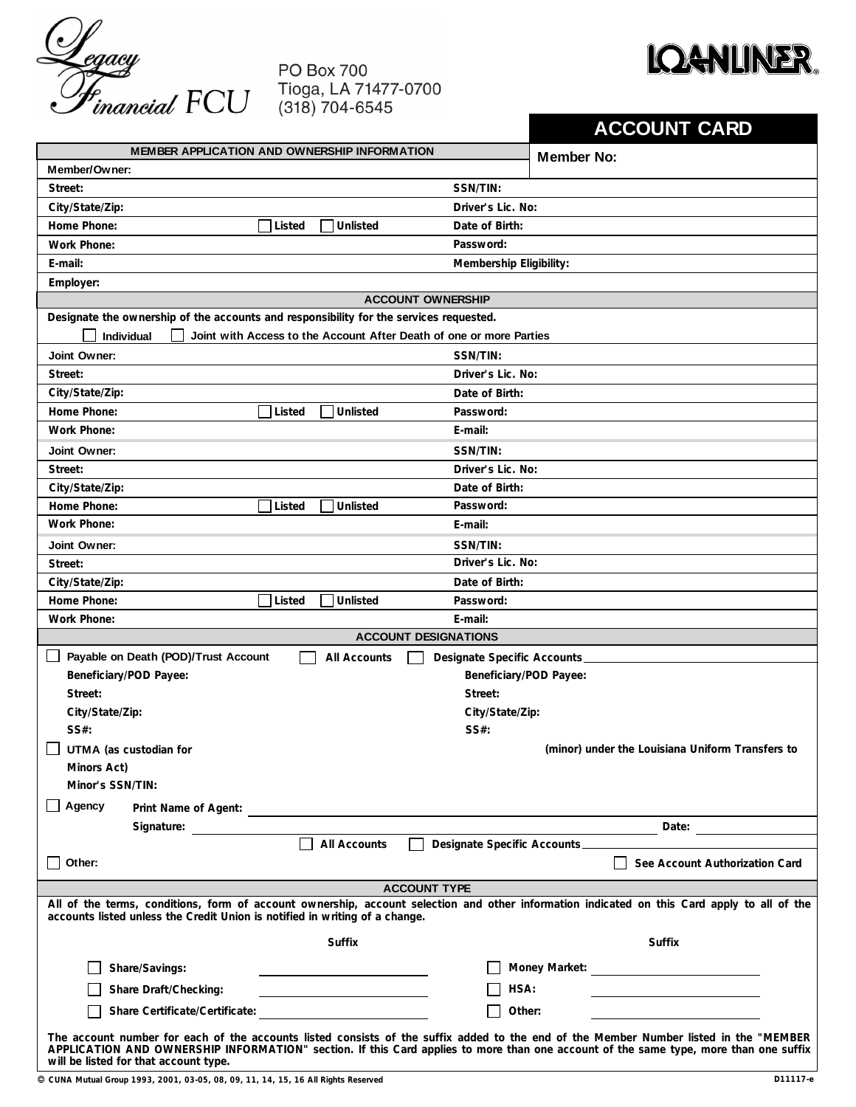

## **PO Box 700** Tioga, LA 71477-0700<br>(318) 704-6545



|                                                                                                                                                                                                                                                                                                                        |                                      |               |                                       | <b>ACCOUNT CARD</b>                              |  |
|------------------------------------------------------------------------------------------------------------------------------------------------------------------------------------------------------------------------------------------------------------------------------------------------------------------------|--------------------------------------|---------------|---------------------------------------|--------------------------------------------------|--|
| MEMBER APPLICATION AND OWNERSHIP INFORMATION                                                                                                                                                                                                                                                                           |                                      |               |                                       | <b>Member No:</b>                                |  |
| Member/Owner:                                                                                                                                                                                                                                                                                                          |                                      |               |                                       |                                                  |  |
| Street:                                                                                                                                                                                                                                                                                                                |                                      |               | SSN/TIN:                              |                                                  |  |
| City/State/Zip:                                                                                                                                                                                                                                                                                                        |                                      |               | Driver's Lic. No:                     |                                                  |  |
| Home Phone:                                                                                                                                                                                                                                                                                                            | Unlisted<br>Date of Birth:<br>Listed |               |                                       |                                                  |  |
| <b>Work Phone:</b>                                                                                                                                                                                                                                                                                                     |                                      |               | Password:                             |                                                  |  |
| E-mail:                                                                                                                                                                                                                                                                                                                | Membership Eligibility:              |               |                                       |                                                  |  |
| Employer:                                                                                                                                                                                                                                                                                                              |                                      |               |                                       |                                                  |  |
| <b>ACCOUNT OWNERSHIP</b>                                                                                                                                                                                                                                                                                               |                                      |               |                                       |                                                  |  |
| Designate the ownership of the accounts and responsibility for the services requested.                                                                                                                                                                                                                                 |                                      |               |                                       |                                                  |  |
| Individual<br>Joint with Access to the Account After Death of one or more Parties                                                                                                                                                                                                                                      |                                      |               |                                       |                                                  |  |
| Joint Owner:                                                                                                                                                                                                                                                                                                           | SSN/TIN:                             |               |                                       |                                                  |  |
| Street:                                                                                                                                                                                                                                                                                                                | Driver's Lic. No:                    |               |                                       |                                                  |  |
| City/State/Zip:                                                                                                                                                                                                                                                                                                        | Date of Birth:                       |               |                                       |                                                  |  |
| Home Phone:                                                                                                                                                                                                                                                                                                            | Unlisted<br>Listed<br>Password:      |               |                                       |                                                  |  |
| Work Phone:                                                                                                                                                                                                                                                                                                            | E-mail:                              |               |                                       |                                                  |  |
| Joint Owner:                                                                                                                                                                                                                                                                                                           |                                      |               | SSN/TIN:                              |                                                  |  |
| Street:                                                                                                                                                                                                                                                                                                                |                                      |               | Driver's Lic. No:                     |                                                  |  |
| City/State/Zip:                                                                                                                                                                                                                                                                                                        |                                      |               | Date of Birth:                        |                                                  |  |
| Home Phone:                                                                                                                                                                                                                                                                                                            | Listed                               | Unlisted      | Password:                             |                                                  |  |
| Work Phone:                                                                                                                                                                                                                                                                                                            |                                      |               | E-mail:                               |                                                  |  |
| Joint Owner:                                                                                                                                                                                                                                                                                                           |                                      |               | SSN/TIN:                              |                                                  |  |
| Street:                                                                                                                                                                                                                                                                                                                |                                      |               | Driver's Lic. No:                     |                                                  |  |
| City/State/Zip:                                                                                                                                                                                                                                                                                                        |                                      |               | Date of Birth:                        |                                                  |  |
| Home Phone:                                                                                                                                                                                                                                                                                                            | Listed                               | Unlisted      | Password:                             |                                                  |  |
| Work Phone:                                                                                                                                                                                                                                                                                                            |                                      |               | E-mail:                               |                                                  |  |
| <b>ACCOUNT DESIGNATIONS</b>                                                                                                                                                                                                                                                                                            |                                      |               |                                       |                                                  |  |
| Payable on Death (POD)/Trust Account<br>Designate Specific Accounts<br>All Accounts                                                                                                                                                                                                                                    |                                      |               |                                       |                                                  |  |
| Beneficiary/POD Payee:                                                                                                                                                                                                                                                                                                 |                                      |               |                                       | Beneficiary/POD Payee:                           |  |
| Street:                                                                                                                                                                                                                                                                                                                | Street:                              |               |                                       |                                                  |  |
| City/State/Zip:                                                                                                                                                                                                                                                                                                        | City/State/Zip:                      |               |                                       |                                                  |  |
| SS#:                                                                                                                                                                                                                                                                                                                   |                                      |               | SS#:                                  |                                                  |  |
| UTMA (as custodian for                                                                                                                                                                                                                                                                                                 |                                      |               |                                       | (minor) under the Louisiana Uniform Transfers to |  |
| Minors Act)                                                                                                                                                                                                                                                                                                            |                                      |               |                                       |                                                  |  |
| Minor's SSN/TIN:                                                                                                                                                                                                                                                                                                       |                                      |               |                                       |                                                  |  |
| Agency                                                                                                                                                                                                                                                                                                                 |                                      |               |                                       |                                                  |  |
| Signature:                                                                                                                                                                                                                                                                                                             |                                      |               |                                       |                                                  |  |
|                                                                                                                                                                                                                                                                                                                        |                                      | All Accounts  | $\Box$<br>Designate Specific Accounts |                                                  |  |
| Other:                                                                                                                                                                                                                                                                                                                 |                                      |               |                                       | See Account Authorization Card                   |  |
|                                                                                                                                                                                                                                                                                                                        |                                      |               | <b>ACCOUNT TYPE</b>                   |                                                  |  |
| All of the terms, conditions, form of account ownership, account selection and other information indicated on this Card apply to all of the<br>accounts listed unless the Credit Union is notified in writing of a change.                                                                                             |                                      |               |                                       |                                                  |  |
|                                                                                                                                                                                                                                                                                                                        |                                      | <b>Suffix</b> |                                       | Suffix                                           |  |
| Share/Savings:                                                                                                                                                                                                                                                                                                         |                                      |               |                                       |                                                  |  |
| Share Draft/Checking:                                                                                                                                                                                                                                                                                                  |                                      |               | HSA:                                  |                                                  |  |
|                                                                                                                                                                                                                                                                                                                        |                                      |               |                                       | Other:                                           |  |
| Share Certificate/Certificate:                                                                                                                                                                                                                                                                                         |                                      |               |                                       |                                                  |  |
| The account number for each of the accounts listed consists of the suffix added to the end of the Member Number listed in the "MEMBER<br>APPLICATION AND OWNERSHIP INFORMATION" section. If this Card applies to more than one account of the same type, more than one suffix<br>will be listed for that account type. |                                      |               |                                       |                                                  |  |